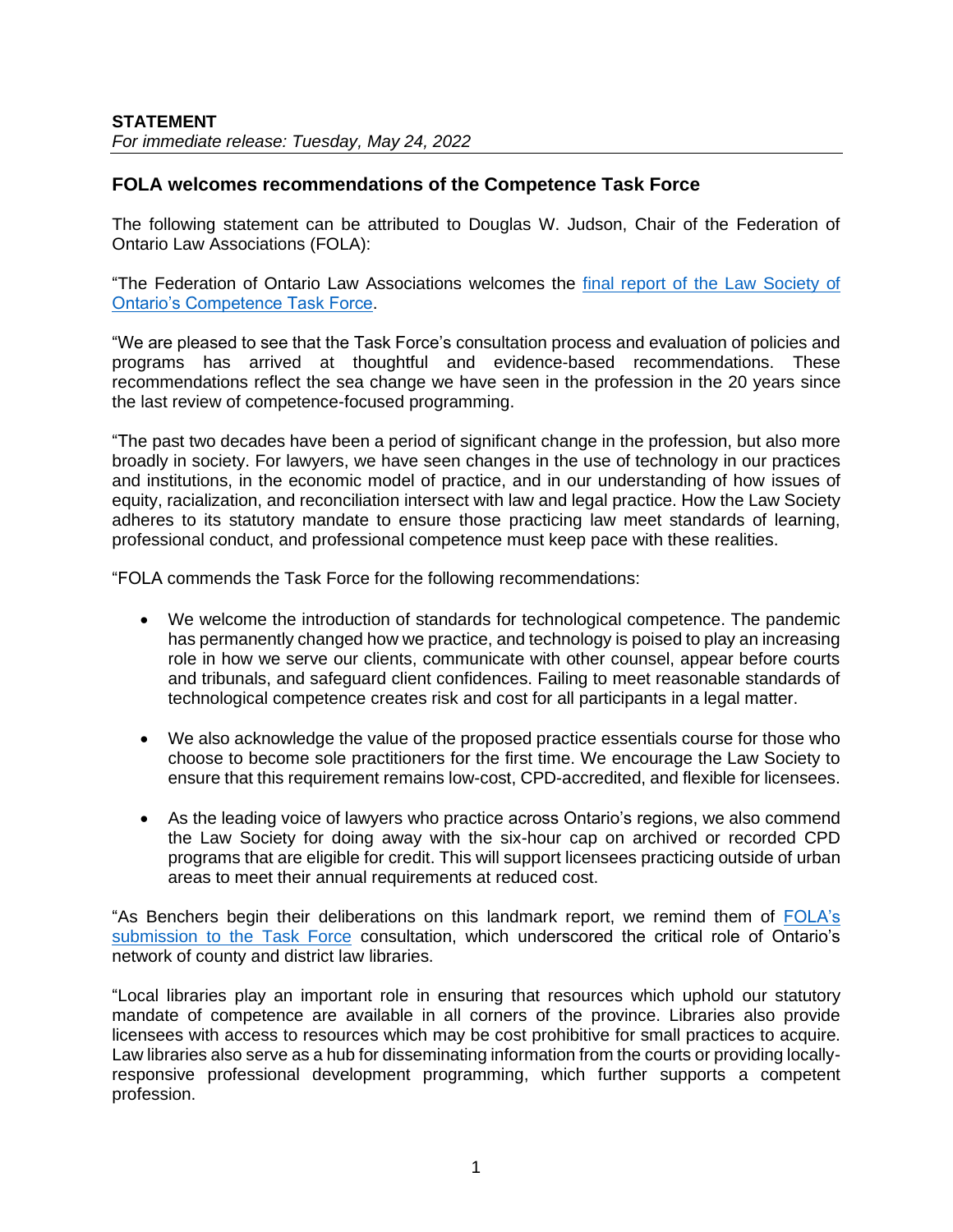# **FOLA welcomes recommendations of the Competence Task Force**

The following statement can be attributed to Douglas W. Judson, Chair of the Federation of Ontario Law Associations (FOLA):

"The Federation of Ontario Law Associations welcomes the [final report of the Law Society of](https://lawsocietyontario.azureedge.net/media/lso/media/lawyers/enhancing-competence-cpd/competence%20tf%202022/tab-2-1-competence-task-force_renewing-the-law-society-s-continuing-competence-framework-may-2022_aoda.pdf)  [Ontario's Competence Task Force.](https://lawsocietyontario.azureedge.net/media/lso/media/lawyers/enhancing-competence-cpd/competence%20tf%202022/tab-2-1-competence-task-force_renewing-the-law-society-s-continuing-competence-framework-may-2022_aoda.pdf)

"We are pleased to see that the Task Force's consultation process and evaluation of policies and programs has arrived at thoughtful and evidence-based recommendations. These recommendations reflect the sea change we have seen in the profession in the 20 years since the last review of competence-focused programming.

"The past two decades have been a period of significant change in the profession, but also more broadly in society. For lawyers, we have seen changes in the use of technology in our practices and institutions, in the economic model of practice, and in our understanding of how issues of equity, racialization, and reconciliation intersect with law and legal practice. How the Law Society adheres to its statutory mandate to ensure those practicing law meet standards of learning, professional conduct, and professional competence must keep pace with these realities.

"FOLA commends the Task Force for the following recommendations:

- We welcome the introduction of standards for technological competence. The pandemic has permanently changed how we practice, and technology is poised to play an increasing role in how we serve our clients, communicate with other counsel, appear before courts and tribunals, and safeguard client confidences. Failing to meet reasonable standards of technological competence creates risk and cost for all participants in a legal matter.
- We also acknowledge the value of the proposed practice essentials course for those who choose to become sole practitioners for the first time. We encourage the Law Society to ensure that this requirement remains low-cost, CPD-accredited, and flexible for licensees.
- As the leading voice of lawyers who practice across Ontario's regions, we also commend the Law Society for doing away with the six-hour cap on archived or recorded CPD programs that are eligible for credit. This will support licensees practicing outside of urban areas to meet their annual requirements at reduced cost.

"As Benchers begin their deliberations on this landmark report, we remind them of [FOLA's](https://img1.wsimg.com/blobby/go/63f6349d-d85d-4511-bc5f-4314d54b45d0/downloads/FOLA%20Response%20to%20the%20Competence%20Task%20Force%20-%20N.pdf?ver=1638197340886) [submission to the Task Force](https://img1.wsimg.com/blobby/go/63f6349d-d85d-4511-bc5f-4314d54b45d0/downloads/FOLA%20Response%20to%20the%20Competence%20Task%20Force%20-%20N.pdf?ver=1638197340886) consultation, which underscored the critical role of Ontario's network of county and district law libraries.

"Local libraries play an important role in ensuring that resources which uphold our statutory mandate of competence are available in all corners of the province. Libraries also provide licensees with access to resources which may be cost prohibitive for small practices to acquire. Law libraries also serve as a hub for disseminating information from the courts or providing locallyresponsive professional development programming, which further supports a competent profession.